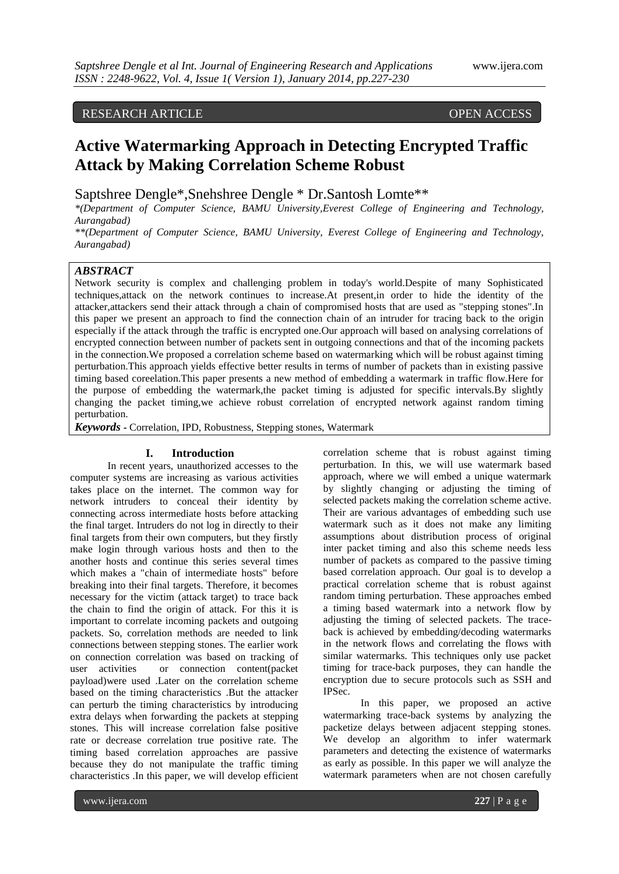## RESEARCH ARTICLE OPEN ACCESS

# **Active Watermarking Approach in Detecting Encrypted Traffic Attack by Making Correlation Scheme Robust**

Saptshree Dengle\*,Snehshree Dengle \* Dr.Santosh Lomte\*\*

*\*(Department of Computer Science, BAMU University,Everest College of Engineering and Technology, Aurangabad)*

*\*\*(Department of Computer Science, BAMU University, Everest College of Engineering and Technology, Aurangabad)*

#### *ABSTRACT*

Network security is complex and challenging problem in today's world.Despite of many Sophisticated techniques,attack on the network continues to increase.At present,in order to hide the identity of the attacker,attackers send their attack through a chain of compromised hosts that are used as "stepping stones".In this paper we present an approach to find the connection chain of an intruder for tracing back to the origin especially if the attack through the traffic is encrypted one.Our approach will based on analysing correlations of encrypted connection between number of packets sent in outgoing connections and that of the incoming packets in the connection.We proposed a correlation scheme based on watermarking which will be robust against timing perturbation.This approach yields effective better results in terms of number of packets than in existing passive timing based coreelation.This paper presents a new method of embedding a watermark in traffic flow.Here for the purpose of embedding the watermark,the packet timing is adjusted for specific intervals.By slightly changing the packet timing,we achieve robust correlation of encrypted network against random timing perturbation.

*Keywords* **-** Correlation, IPD, Robustness, Stepping stones, Watermark

#### **I. Introduction**

In recent years, unauthorized accesses to the computer systems are increasing as various activities takes place on the internet. The common way for network intruders to conceal their identity by connecting across intermediate hosts before attacking the final target. Intruders do not log in directly to their final targets from their own computers, but they firstly make login through various hosts and then to the another hosts and continue this series several times which makes a "chain of intermediate hosts" before breaking into their final targets. Therefore, it becomes necessary for the victim (attack target) to trace back the chain to find the origin of attack. For this it is important to correlate incoming packets and outgoing packets. So, correlation methods are needed to link connections between stepping stones. The earlier work on connection correlation was based on tracking of user activities or connection content(packet payload)were used .Later on the correlation scheme based on the timing characteristics .But the attacker can perturb the timing characteristics by introducing extra delays when forwarding the packets at stepping stones. This will increase correlation false positive rate or decrease correlation true positive rate. The timing based correlation approaches are passive because they do not manipulate the traffic timing characteristics .In this paper, we will develop efficient

correlation scheme that is robust against timing perturbation. In this, we will use watermark based approach, where we will embed a unique watermark by slightly changing or adjusting the timing of selected packets making the correlation scheme active. Their are various advantages of embedding such use watermark such as it does not make any limiting assumptions about distribution process of original inter packet timing and also this scheme needs less number of packets as compared to the passive timing based correlation approach. Our goal is to develop a practical correlation scheme that is robust against random timing perturbation. These approaches embed a timing based watermark into a network flow by adjusting the timing of selected packets. The traceback is achieved by embedding/decoding watermarks in the network flows and correlating the flows with similar watermarks. This techniques only use packet timing for trace-back purposes, they can handle the encryption due to secure protocols such as SSH and IPSec.

In this paper, we proposed an active watermarking trace-back systems by analyzing the packetize delays between adjacent stepping stones. We develop an algorithm to infer watermark parameters and detecting the existence of watermarks as early as possible. In this paper we will analyze the watermark parameters when are not chosen carefully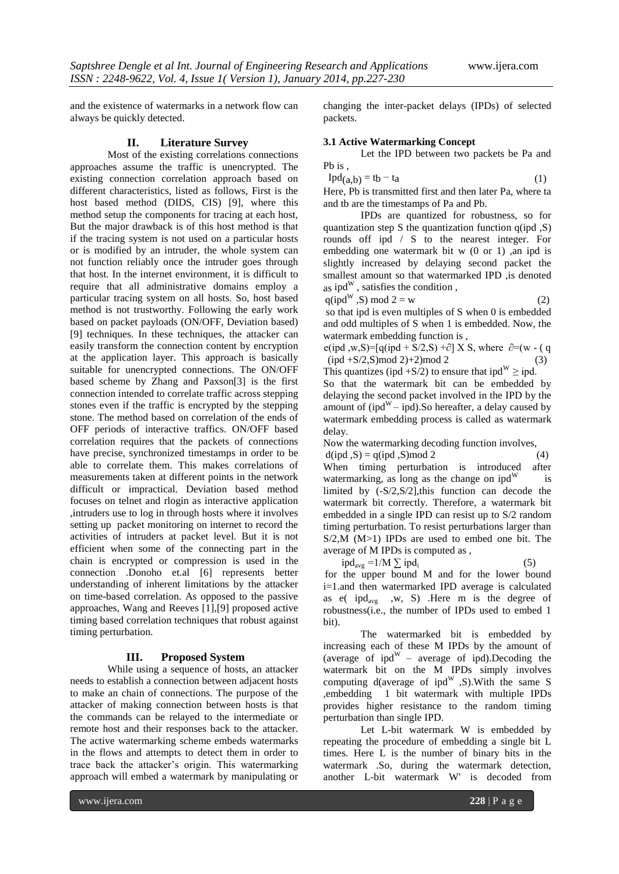and the existence of watermarks in a network flow can always be quickly detected.

#### **II. Literature Survey**

Most of the existing correlations connections approaches assume the traffic is unencrypted. The existing connection correlation approach based on different characteristics, listed as follows, First is the host based method (DIDS, CIS) [9], where this method setup the components for tracing at each host, But the major drawback is of this host method is that if the tracing system is not used on a particular hosts or is modified by an intruder, the whole system can not function reliably once the intruder goes through that host. In the internet environment, it is difficult to require that all administrative domains employ a particular tracing system on all hosts. So, host based method is not trustworthy. Following the early work based on packet payloads (ON/OFF, Deviation based) [9] techniques. In these techniques, the attacker can easily transform the connection content by encryption at the application layer. This approach is basically suitable for unencrypted connections. The ON/OFF based scheme by Zhang and Paxson[3] is the first connection intended to correlate traffic across stepping stones even if the traffic is encrypted by the stepping stone. The method based on correlation of the ends of OFF periods of interactive traffics. ON/OFF based correlation requires that the packets of connections have precise, synchronized timestamps in order to be able to correlate them. This makes correlations of measurements taken at different points in the network difficult or impractical. Deviation based method focuses on telnet and rlogin as interactive application ,intruders use to log in through hosts where it involves setting up packet monitoring on internet to record the activities of intruders at packet level. But it is not efficient when some of the connecting part in the chain is encrypted or compression is used in the connection .Donoho et.al [6] represents better understanding of inherent limitations by the attacker on time-based correlation. As opposed to the passive approaches, Wang and Reeves [1],[9] proposed active timing based correlation techniques that robust against timing perturbation.

#### **III. Proposed System**

While using a sequence of hosts, an attacker needs to establish a connection between adjacent hosts to make an chain of connections. The purpose of the attacker of making connection between hosts is that the commands can be relayed to the intermediate or remote host and their responses back to the attacker. The active watermarking scheme embeds watermarks in the flows and attempts to detect them in order to trace back the attacker's origin. This watermarking approach will embed a watermark by manipulating or

changing the inter-packet delays (IPDs) of selected packets.

#### **3.1 Active Watermarking Concept**

Let the IPD between two packets be Pa and Pb is ,

 $Ipd(a,b) = tb - ta$  (1)

Here, Pb is transmitted first and then later Pa, where ta and tb are the timestamps of Pa and Pb.

IPDs are quantized for robustness, so for quantization step S the quantization function q(ipd ,S) rounds off ipd / S to the nearest integer. For embedding one watermark bit  $w$  (0 or 1), an ipd is slightly increased by delaying second packet the smallest amount so that watermarked IPD ,is denoted as ipd $^{W}$ , satisfies the condition,

$$
q(ipd^W, S) \bmod 2 = w \tag{2}
$$

so that ipd is even multiples of S when 0 is embedded and odd multiples of S when 1 is embedded. Now, the watermark embedding function is ,

e(ipd ,w,S)=[q(ipd + S/2,S) + $\partial$ ] X S, where  $\partial$ =(w - (q  $(pd + S/2, S) \mod 2 + 2 \mod 2$  (3) This quantizes (ipd +S/2) to ensure that ipd<sup>W</sup>  $\ge$  ipd.

So that the watermark bit can be embedded by delaying the second packet involved in the IPD by the amount of (ipd<sup>W</sup> – ipd).So hereafter, a delay caused by watermark embedding process is called as watermark delay.

Now the watermarking decoding function involves,

 $d(ipd, S) = q(ipd, S) \mod 2$  (4) When timing perturbation is introduced after watermarking, as long as the change on  $ipd^{W}$  is limited by (-S/2,S/2],this function can decode the watermark bit correctly. Therefore, a watermark bit embedded in a single IPD can resist up to S/2 random timing perturbation. To resist perturbations larger than S/2,M (M>1) IPDs are used to embed one bit. The average of M IPDs is computed as ,

 $ipd_{avg} = 1/M \sum ipd_i$  (5) for the upper bound M and for the lower bound i=1.and then watermarked IPD average is calculated as e( $ipd_{avg}$ , w, S). Here m is the degree of robustness(i.e., the number of IPDs used to embed 1 bit).

The watermarked bit is embedded by increasing each of these M IPDs by the amount of (average of ipd<sup>W</sup> – average of ipd). Decoding the watermark bit on the M IPDs simply involves computing d(average of ipd<sup>W</sup>,S).With the same S ,embedding 1 bit watermark with multiple IPDs provides higher resistance to the random timing perturbation than single IPD.

Let L-bit watermark W is embedded by repeating the procedure of embedding a single bit L times. Here L is the number of binary bits in the watermark .So, during the watermark detection, another L-bit watermark W' is decoded from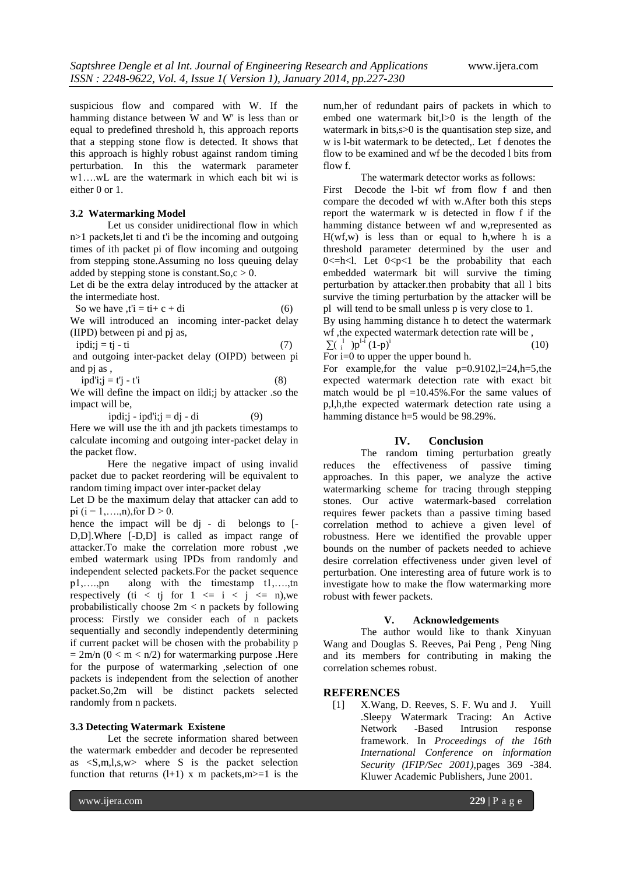suspicious flow and compared with W. If the hamming distance between W and W' is less than or equal to predefined threshold h, this approach reports that a stepping stone flow is detected. It shows that this approach is highly robust against random timing perturbation. In this the watermark parameter w1….wL are the watermark in which each bit wi is either 0 or 1.

#### **3.2 Watermarking Model**

Let us consider unidirectional flow in which n>1 packets,let ti and t'i be the incoming and outgoing times of ith packet pi of flow incoming and outgoing from stepping stone.Assuming no loss queuing delay added by stepping stone is constant. So,  $c > 0$ .

Let di be the extra delay introduced by the attacker at the intermediate host.

So we have 
$$
t\dot{i} = t\dot{i} + c + d\dot{i}
$$
 (6)

We will introduced an incoming inter-packet delay (IIPD) between pi and pj as,

$$
ipdi; j = tj - ti
$$
 (7)

and outgoing inter-packet delay (OIPD) between pi and pj as ,

 $ipd'i;j = t'j - t'i$  (8)

We will define the impact on ildi;j by attacker .so the impact will be,

ipdi;j - ipd'i;j = dj - di (9)

Here we will use the ith and jth packets timestamps to calculate incoming and outgoing inter-packet delay in the packet flow.

Here the negative impact of using invalid packet due to packet reordering will be equivalent to random timing impact over inter-packet delay

Let D be the maximum delay that attacker can add to pi  $(i = 1, \ldots, n)$ , for  $D > 0$ .

hence the impact will be dj - di belongs to [-D,D].Where [-D,D] is called as impact range of attacker.To make the correlation more robust ,we embed watermark using IPDs from randomly and independent selected packets.For the packet sequence p1,….,pn along with the timestamp t1,….,tn respectively (ti < tj for  $1 \le i \le j \le n$ ), we probabilistically choose 2m < n packets by following process: Firstly we consider each of n packets sequentially and secondly independently determining if current packet will be chosen with the probability p  $= 2m/n$  (0 < m < n/2) for watermarking purpose .Here for the purpose of watermarking ,selection of one packets is independent from the selection of another packet.So,2m will be distinct packets selected randomly from n packets.

### **3.3 Detecting Watermark Existene**

Let the secrete information shared between the watermark embedder and decoder be represented as <S,m,l,s,w> where S is the packet selection function that returns  $(l+1)$  x m packets, m >=1 is the

www.ijera.com **229** | P a g e

num,her of redundant pairs of packets in which to embed one watermark bit,l>0 is the length of the watermark in bits,s>0 is the quantisation step size, and w is l-bit watermark to be detected,. Let f denotes the flow to be examined and wf be the decoded l bits from flow f.

The watermark detector works as follows:

First Decode the l-bit wf from flow f and then compare the decoded wf with w.After both this steps report the watermark w is detected in flow f if the hamming distance between wf and w,represented as  $H(wf, w)$  is less than or equal to h, where h is a threshold parameter determined by the user and  $0 \leq h \leq l$ . Let  $0 \leq p \leq l$  be the probability that each embedded watermark bit will survive the timing perturbation by attacker.then probabity that all l bits survive the timing perturbation by the attacker will be pl will tend to be small unless p is very close to 1.

By using hamming distance h to detect the watermark wf ,the expected watermark detection rate will be ,  $\sum_{i}$   $\binom{1}{i}$   $p^{1-i}$   $(1-p)^{i}$ (10)

For i=0 to upper the upper bound h.

For example, for the value p=0.9102,l=24,h=5, the expected watermark detection rate with exact bit match would be  $p1 = 10.45\%$ . For the same values of p,l,h,the expected watermark detection rate using a hamming distance h=5 would be 98.29%.

#### **IV. Conclusion**

The random timing perturbation greatly reduces the effectiveness of passive timing approaches. In this paper, we analyze the active watermarking scheme for tracing through stepping stones. Our active watermark-based correlation requires fewer packets than a passive timing based correlation method to achieve a given level of robustness. Here we identified the provable upper bounds on the number of packets needed to achieve desire correlation effectiveness under given level of perturbation. One interesting area of future work is to investigate how to make the flow watermarking more robust with fewer packets.

#### **V. Acknowledgements**

The author would like to thank Xinyuan Wang and Douglas S. Reeves, Pai Peng , Peng Ning and its members for contributing in making the correlation schemes robust.

#### **REFERENCES**

[1] X.Wang, D. Reeves, S. F. Wu and J. Yuill .Sleepy Watermark Tracing: An Active Network -Based Intrusion response framework. In *Proceedings of the 16th International Conference on information Security (IFIP/Sec 2001),*pages 369 -384. Kluwer Academic Publishers, June 2001.